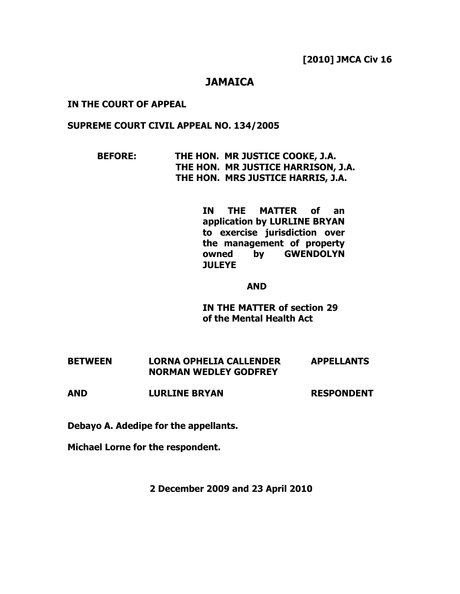### JAMAICA

#### IN THE COURT OF APPEAL

#### SUPREME COURT CIVIL APPEAL NO. 134/2005

 BEFORE: THE HON. MR JUSTICE COOKE, J.A. THE HON. MR JUSTICE HARRISON, J.A. THE HON. MRS JUSTICE HARRIS, J.A.

> IN THE MATTER of an application by LURLINE BRYAN to exercise jurisdiction over the management of property owned by GWENDOLYN **JULEYE**

#### AND

IN THE MATTER of section 29 of the Mental Health Act

| <b>BETWEEN</b> | <b>LORNA OPHELIA CALLENDER</b> | <b>APPELLANTS</b> |
|----------------|--------------------------------|-------------------|
|                | <b>NORMAN WEDLEY GODFREY</b>   |                   |

AND LURLINE BRYAN RESPONDENT

Debayo A. Adedipe for the appellants.

Michael Lorne for the respondent.

2 December 2009 and 23 April 2010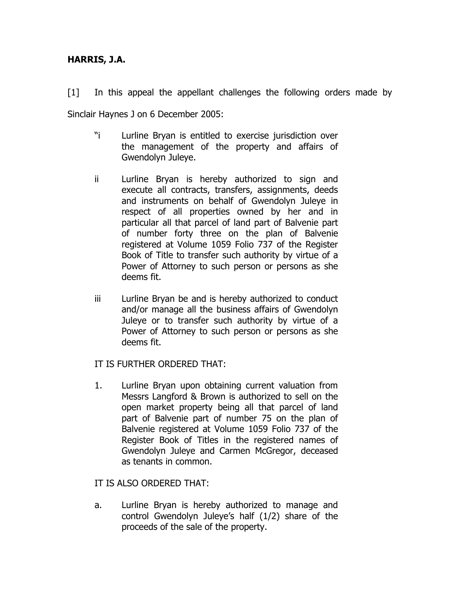## HARRIS, J.A.

[1] In this appeal the appellant challenges the following orders made by Sinclair Haynes J on 6 December 2005:

- "i Lurline Bryan is entitled to exercise jurisdiction over the management of the property and affairs of Gwendolyn Juleye.
- ii Lurline Bryan is hereby authorized to sign and execute all contracts, transfers, assignments, deeds and instruments on behalf of Gwendolyn Juleye in respect of all properties owned by her and in particular all that parcel of land part of Balvenie part of number forty three on the plan of Balvenie registered at Volume 1059 Folio 737 of the Register Book of Title to transfer such authority by virtue of a Power of Attorney to such person or persons as she deems fit.
- iii Lurline Bryan be and is hereby authorized to conduct and/or manage all the business affairs of Gwendolyn Juleye or to transfer such authority by virtue of a Power of Attorney to such person or persons as she deems fit.

### IT IS FURTHER ORDERED THAT:

1. Lurline Bryan upon obtaining current valuation from Messrs Langford & Brown is authorized to sell on the open market property being all that parcel of land part of Balvenie part of number 75 on the plan of Balvenie registered at Volume 1059 Folio 737 of the Register Book of Titles in the registered names of Gwendolyn Juleye and Carmen McGregor, deceased as tenants in common.

#### IT IS ALSO ORDERED THAT:

a. Lurline Bryan is hereby authorized to manage and control Gwendolyn Juleye's half (1/2) share of the proceeds of the sale of the property.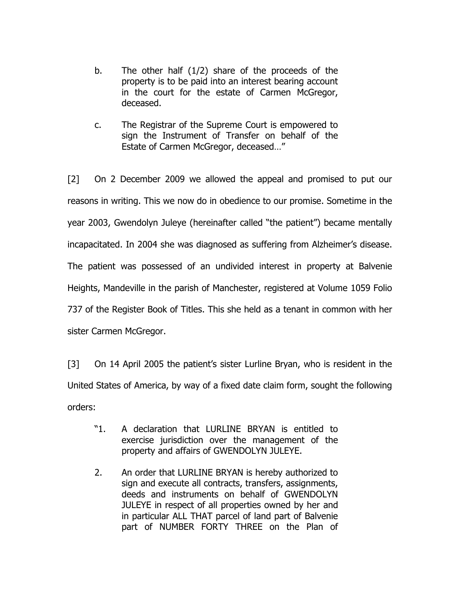- b. The other half (1/2) share of the proceeds of the property is to be paid into an interest bearing account in the court for the estate of Carmen McGregor, deceased.
- c. The Registrar of the Supreme Court is empowered to sign the Instrument of Transfer on behalf of the Estate of Carmen McGregor, deceased…"

[2] On 2 December 2009 we allowed the appeal and promised to put our reasons in writing. This we now do in obedience to our promise. Sometime in the year 2003, Gwendolyn Juleye (hereinafter called "the patient") became mentally incapacitated. In 2004 she was diagnosed as suffering from Alzheimer's disease. The patient was possessed of an undivided interest in property at Balvenie Heights, Mandeville in the parish of Manchester, registered at Volume 1059 Folio 737 of the Register Book of Titles. This she held as a tenant in common with her sister Carmen McGregor.

[3] On 14 April 2005 the patient's sister Lurline Bryan, who is resident in the United States of America, by way of a fixed date claim form, sought the following orders:

- "1. A declaration that LURLINE BRYAN is entitled to exercise jurisdiction over the management of the property and affairs of GWENDOLYN JULEYE.
- 2. An order that LURLINE BRYAN is hereby authorized to sign and execute all contracts, transfers, assignments, deeds and instruments on behalf of GWENDOLYN JULEYE in respect of all properties owned by her and in particular ALL THAT parcel of land part of Balvenie part of NUMBER FORTY THREE on the Plan of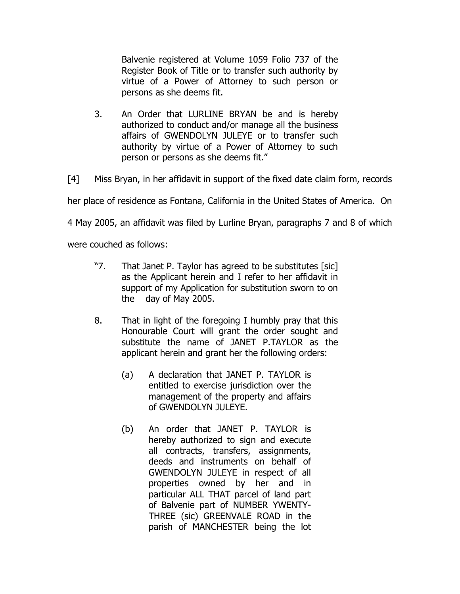Balvenie registered at Volume 1059 Folio 737 of the Register Book of Title or to transfer such authority by virtue of a Power of Attorney to such person or persons as she deems fit.

3. An Order that LURLINE BRYAN be and is hereby authorized to conduct and/or manage all the business affairs of GWENDOLYN JULEYE or to transfer such authority by virtue of a Power of Attorney to such person or persons as she deems fit."

[4] Miss Bryan, in her affidavit in support of the fixed date claim form, records

her place of residence as Fontana, California in the United States of America. On

4 May 2005, an affidavit was filed by Lurline Bryan, paragraphs 7 and 8 of which

were couched as follows:

- "7. That Janet P. Taylor has agreed to be substitutes [sic] as the Applicant herein and I refer to her affidavit in support of my Application for substitution sworn to on the day of May 2005.
- 8. That in light of the foregoing I humbly pray that this Honourable Court will grant the order sought and substitute the name of JANET P.TAYLOR as the applicant herein and grant her the following orders:
	- (a) A declaration that JANET P. TAYLOR is entitled to exercise jurisdiction over the management of the property and affairs of GWENDOLYN JULEYE.
	- (b) An order that JANET P. TAYLOR is hereby authorized to sign and execute all contracts, transfers, assignments, deeds and instruments on behalf of GWENDOLYN JULEYE in respect of all properties owned by her and in particular ALL THAT parcel of land part of Balvenie part of NUMBER YWENTY-THREE (sic) GREENVALE ROAD in the parish of MANCHESTER being the lot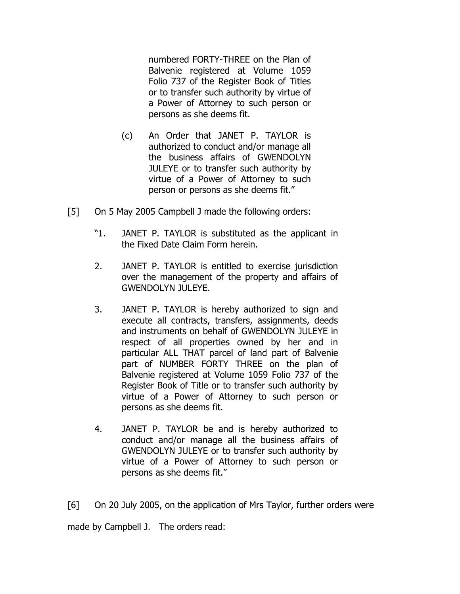numbered FORTY-THREE on the Plan of Balvenie registered at Volume 1059 Folio 737 of the Register Book of Titles or to transfer such authority by virtue of a Power of Attorney to such person or persons as she deems fit.

- (c) An Order that JANET P. TAYLOR is authorized to conduct and/or manage all the business affairs of GWENDOLYN JULEYE or to transfer such authority by virtue of a Power of Attorney to such person or persons as she deems fit."
- [5] On 5 May 2005 Campbell J made the following orders:
	- "1. JANET P. TAYLOR is substituted as the applicant in the Fixed Date Claim Form herein.
	- 2. JANET P. TAYLOR is entitled to exercise jurisdiction over the management of the property and affairs of GWENDOLYN JULEYE.
	- 3. JANET P. TAYLOR is hereby authorized to sign and execute all contracts, transfers, assignments, deeds and instruments on behalf of GWENDOLYN JULEYE in respect of all properties owned by her and in particular ALL THAT parcel of land part of Balvenie part of NUMBER FORTY THREE on the plan of Balvenie registered at Volume 1059 Folio 737 of the Register Book of Title or to transfer such authority by virtue of a Power of Attorney to such person or persons as she deems fit.
	- 4. JANET P. TAYLOR be and is hereby authorized to conduct and/or manage all the business affairs of GWENDOLYN JULEYE or to transfer such authority by virtue of a Power of Attorney to such person or persons as she deems fit."

[6] On 20 July 2005, on the application of Mrs Taylor, further orders were made by Campbell J. The orders read: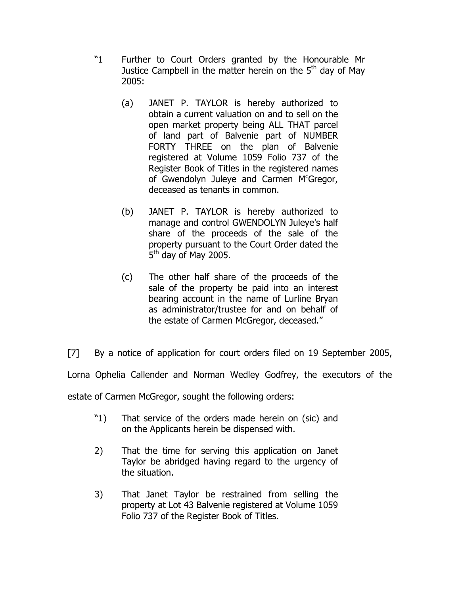- "1 Further to Court Orders granted by the Honourable Mr Justice Campbell in the matter herein on the  $5<sup>th</sup>$  day of May 2005:
	- (a) JANET P. TAYLOR is hereby authorized to obtain a current valuation on and to sell on the open market property being ALL THAT parcel of land part of Balvenie part of NUMBER FORTY THREE on the plan of Balvenie registered at Volume 1059 Folio 737 of the Register Book of Titles in the registered names of Gwendolyn Juleye and Carmen  $M<sup>c</sup>$ Gregor, deceased as tenants in common.
	- (b) JANET P. TAYLOR is hereby authorized to manage and control GWENDOLYN Juleye's half share of the proceeds of the sale of the property pursuant to the Court Order dated the 5<sup>th</sup> day of May 2005.
	- (c) The other half share of the proceeds of the sale of the property be paid into an interest bearing account in the name of Lurline Bryan as administrator/trustee for and on behalf of the estate of Carmen McGregor, deceased."
- [7] By a notice of application for court orders filed on 19 September 2005,

Lorna Ophelia Callender and Norman Wedley Godfrey, the executors of the

estate of Carmen McGregor, sought the following orders:

- "1) That service of the orders made herein on (sic) and on the Applicants herein be dispensed with.
- 2) That the time for serving this application on Janet Taylor be abridged having regard to the urgency of the situation.
- 3) That Janet Taylor be restrained from selling the property at Lot 43 Balvenie registered at Volume 1059 Folio 737 of the Register Book of Titles.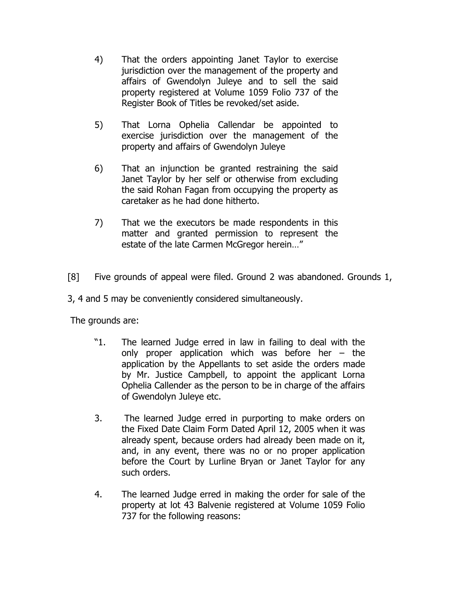- 4) That the orders appointing Janet Taylor to exercise jurisdiction over the management of the property and affairs of Gwendolyn Juleye and to sell the said property registered at Volume 1059 Folio 737 of the Register Book of Titles be revoked/set aside.
- 5) That Lorna Ophelia Callendar be appointed to exercise jurisdiction over the management of the property and affairs of Gwendolyn Juleye
- 6) That an injunction be granted restraining the said Janet Taylor by her self or otherwise from excluding the said Rohan Fagan from occupying the property as caretaker as he had done hitherto.
- 7) That we the executors be made respondents in this matter and granted permission to represent the estate of the late Carmen McGregor herein…"
- [8] Five grounds of appeal were filed. Ground 2 was abandoned. Grounds 1,

3, 4 and 5 may be conveniently considered simultaneously.

The grounds are:

- "1. The learned Judge erred in law in failing to deal with the only proper application which was before her – the application by the Appellants to set aside the orders made by Mr. Justice Campbell, to appoint the applicant Lorna Ophelia Callender as the person to be in charge of the affairs of Gwendolyn Juleye etc.
- 3. The learned Judge erred in purporting to make orders on the Fixed Date Claim Form Dated April 12, 2005 when it was already spent, because orders had already been made on it, and, in any event, there was no or no proper application before the Court by Lurline Bryan or Janet Taylor for any such orders.
- 4. The learned Judge erred in making the order for sale of the property at lot 43 Balvenie registered at Volume 1059 Folio 737 for the following reasons: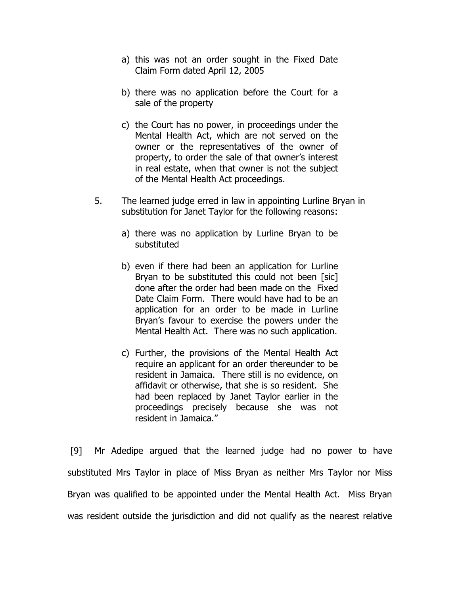- a) this was not an order sought in the Fixed Date Claim Form dated April 12, 2005
- b) there was no application before the Court for a sale of the property
- c) the Court has no power, in proceedings under the Mental Health Act, which are not served on the owner or the representatives of the owner of property, to order the sale of that owner's interest in real estate, when that owner is not the subject of the Mental Health Act proceedings.
- 5. The learned judge erred in law in appointing Lurline Bryan in substitution for Janet Taylor for the following reasons:
	- a) there was no application by Lurline Bryan to be substituted
	- b) even if there had been an application for Lurline Brvan to be substituted this could not been [sic] done after the order had been made on the Fixed Date Claim Form. There would have had to be an application for an order to be made in Lurline Bryan's favour to exercise the powers under the Mental Health Act. There was no such application.
	- c) Further, the provisions of the Mental Health Act require an applicant for an order thereunder to be resident in Jamaica. There still is no evidence, on affidavit or otherwise, that she is so resident. She had been replaced by Janet Taylor earlier in the proceedings precisely because she was not resident in Jamaica."

 [9] Mr Adedipe argued that the learned judge had no power to have substituted Mrs Taylor in place of Miss Bryan as neither Mrs Taylor nor Miss Bryan was qualified to be appointed under the Mental Health Act. Miss Bryan was resident outside the jurisdiction and did not qualify as the nearest relative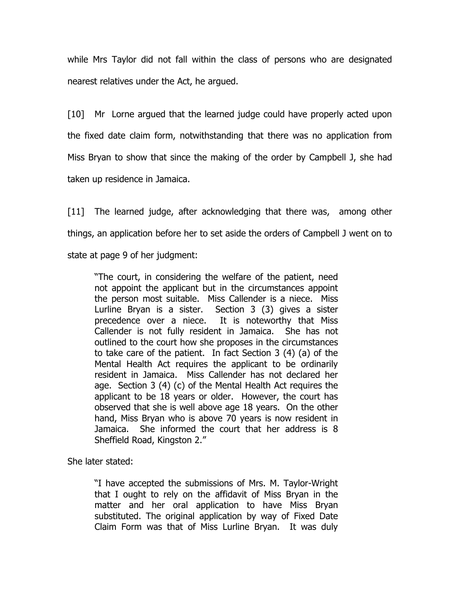while Mrs Taylor did not fall within the class of persons who are designated nearest relatives under the Act, he argued.

[10] Mr Lorne argued that the learned judge could have properly acted upon the fixed date claim form, notwithstanding that there was no application from Miss Bryan to show that since the making of the order by Campbell J, she had taken up residence in Jamaica.

[11] The learned judge, after acknowledging that there was, among other things, an application before her to set aside the orders of Campbell J went on to state at page 9 of her judgment:

"The court, in considering the welfare of the patient, need not appoint the applicant but in the circumstances appoint the person most suitable. Miss Callender is a niece. Miss Lurline Bryan is a sister. Section 3 (3) gives a sister precedence over a niece. It is noteworthy that Miss Callender is not fully resident in Jamaica. She has not outlined to the court how she proposes in the circumstances to take care of the patient. In fact Section 3 (4) (a) of the Mental Health Act requires the applicant to be ordinarily resident in Jamaica. Miss Callender has not declared her age. Section 3 (4) (c) of the Mental Health Act requires the applicant to be 18 years or older. However, the court has observed that she is well above age 18 years. On the other hand, Miss Bryan who is above 70 years is now resident in Jamaica. She informed the court that her address is 8 Sheffield Road, Kingston 2."

She later stated:

"I have accepted the submissions of Mrs. M. Taylor-Wright that I ought to rely on the affidavit of Miss Bryan in the matter and her oral application to have Miss Bryan substituted. The original application by way of Fixed Date Claim Form was that of Miss Lurline Bryan. It was duly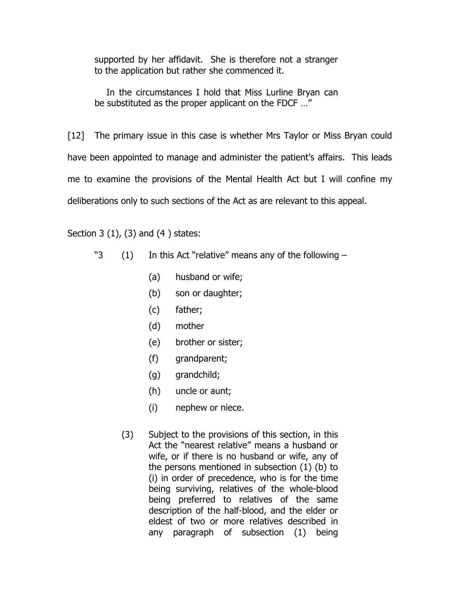supported by her affidavit. She is therefore not a stranger to the application but rather she commenced it.

 In the circumstances I hold that Miss Lurline Bryan can be substituted as the proper applicant on the FDCF …"

[12] The primary issue in this case is whether Mrs Taylor or Miss Bryan could have been appointed to manage and administer the patient's affairs. This leads me to examine the provisions of the Mental Health Act but I will confine my deliberations only to such sections of the Act as are relevant to this appeal.

Section 3 (1), (3) and (4 ) states:

- "3 (1) In this Act "relative" means any of the following
	- (a) husband or wife;
	- (b) son or daughter;
	- (c) father;
	- (d) mother
	- (e) brother or sister;
	- (f) grandparent;
	- (g) grandchild;
	- (h) uncle or aunt;
	- (i) nephew or niece.
	- (3) Subject to the provisions of this section, in this Act the "nearest relative" means a husband or wife, or if there is no husband or wife, any of the persons mentioned in subsection (1) (b) to (i) in order of precedence, who is for the time being surviving, relatives of the whole-blood being preferred to relatives of the same description of the half-blood, and the elder or eldest of two or more relatives described in any paragraph of subsection (1) being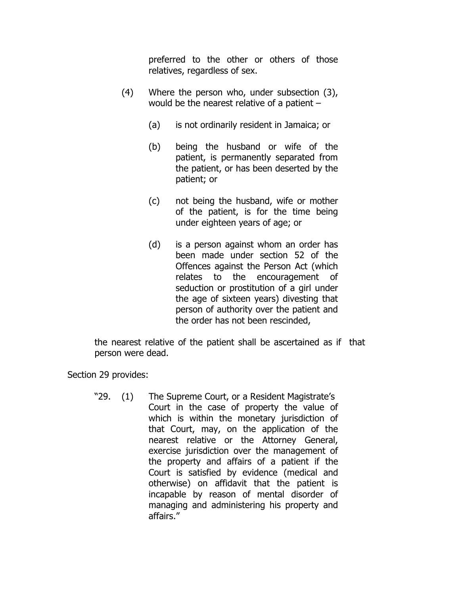preferred to the other or others of those relatives, regardless of sex.

- (4) Where the person who, under subsection (3), would be the nearest relative of a patient –
	- (a) is not ordinarily resident in Jamaica; or
	- (b) being the husband or wife of the patient, is permanently separated from the patient, or has been deserted by the patient; or
	- (c) not being the husband, wife or mother of the patient, is for the time being under eighteen years of age; or
	- (d) is a person against whom an order has been made under section 52 of the Offences against the Person Act (which relates to the encouragement of seduction or prostitution of a girl under the age of sixteen years) divesting that person of authority over the patient and the order has not been rescinded,

the nearest relative of the patient shall be ascertained as if that person were dead.

Section 29 provides:

"29. (1) The Supreme Court, or a Resident Magistrate's Court in the case of property the value of which is within the monetary jurisdiction of that Court, may, on the application of the nearest relative or the Attorney General, exercise jurisdiction over the management of the property and affairs of a patient if the Court is satisfied by evidence (medical and otherwise) on affidavit that the patient is incapable by reason of mental disorder of managing and administering his property and affairs."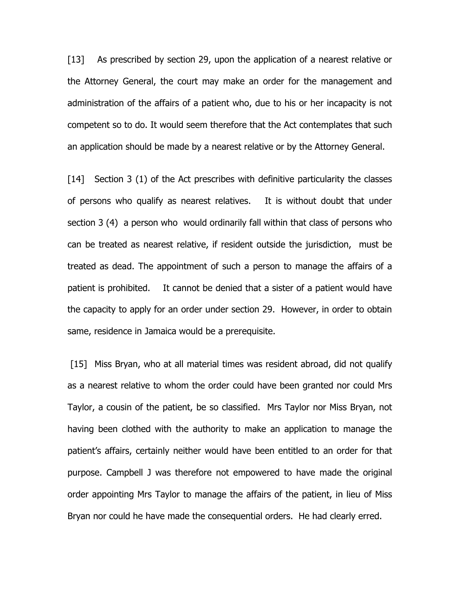[13] As prescribed by section 29, upon the application of a nearest relative or the Attorney General, the court may make an order for the management and administration of the affairs of a patient who, due to his or her incapacity is not competent so to do. It would seem therefore that the Act contemplates that such an application should be made by a nearest relative or by the Attorney General.

[14] Section 3 (1) of the Act prescribes with definitive particularity the classes of persons who qualify as nearest relatives. It is without doubt that under section 3 (4) a person who would ordinarily fall within that class of persons who can be treated as nearest relative, if resident outside the jurisdiction, must be treated as dead. The appointment of such a person to manage the affairs of a patient is prohibited. It cannot be denied that a sister of a patient would have the capacity to apply for an order under section 29. However, in order to obtain same, residence in Jamaica would be a prerequisite.

 [15] Miss Bryan, who at all material times was resident abroad, did not qualify as a nearest relative to whom the order could have been granted nor could Mrs Taylor, a cousin of the patient, be so classified. Mrs Taylor nor Miss Bryan, not having been clothed with the authority to make an application to manage the patient's affairs, certainly neither would have been entitled to an order for that purpose. Campbell J was therefore not empowered to have made the original order appointing Mrs Taylor to manage the affairs of the patient, in lieu of Miss Bryan nor could he have made the consequential orders. He had clearly erred.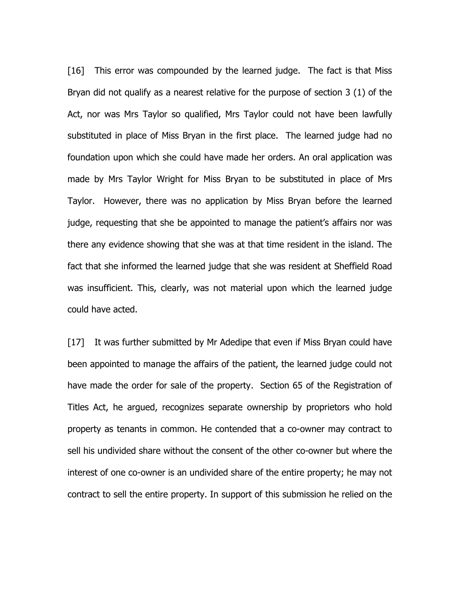[16] This error was compounded by the learned judge. The fact is that Miss Bryan did not qualify as a nearest relative for the purpose of section 3 (1) of the Act, nor was Mrs Taylor so qualified, Mrs Taylor could not have been lawfully substituted in place of Miss Bryan in the first place. The learned judge had no foundation upon which she could have made her orders. An oral application was made by Mrs Taylor Wright for Miss Bryan to be substituted in place of Mrs Taylor. However, there was no application by Miss Bryan before the learned judge, requesting that she be appointed to manage the patient's affairs nor was there any evidence showing that she was at that time resident in the island. The fact that she informed the learned judge that she was resident at Sheffield Road was insufficient. This, clearly, was not material upon which the learned judge could have acted.

[17] It was further submitted by Mr Adedipe that even if Miss Bryan could have been appointed to manage the affairs of the patient, the learned judge could not have made the order for sale of the property. Section 65 of the Registration of Titles Act, he argued, recognizes separate ownership by proprietors who hold property as tenants in common. He contended that a co-owner may contract to sell his undivided share without the consent of the other co-owner but where the interest of one co-owner is an undivided share of the entire property; he may not contract to sell the entire property. In support of this submission he relied on the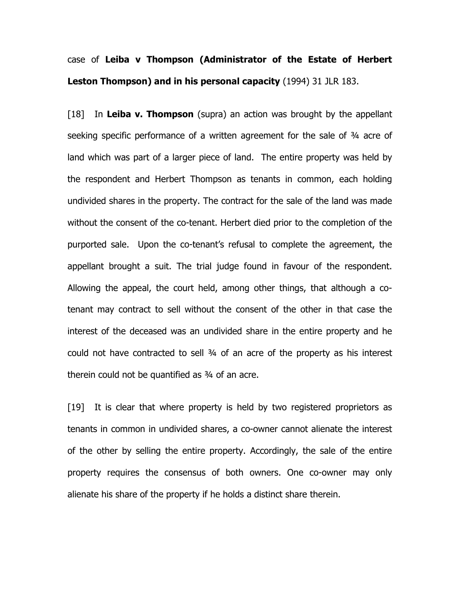# case of Leiba v Thompson (Administrator of the Estate of Herbert Leston Thompson) and in his personal capacity (1994) 31 JLR 183.

[18] In Leiba v. Thompson (supra) an action was brought by the appellant seeking specific performance of a written agreement for the sale of ¾ acre of land which was part of a larger piece of land. The entire property was held by the respondent and Herbert Thompson as tenants in common, each holding undivided shares in the property. The contract for the sale of the land was made without the consent of the co-tenant. Herbert died prior to the completion of the purported sale. Upon the co-tenant's refusal to complete the agreement, the appellant brought a suit. The trial judge found in favour of the respondent. Allowing the appeal, the court held, among other things, that although a cotenant may contract to sell without the consent of the other in that case the interest of the deceased was an undivided share in the entire property and he could not have contracted to sell ¾ of an acre of the property as his interest therein could not be quantified as ¾ of an acre.

[19] It is clear that where property is held by two registered proprietors as tenants in common in undivided shares, a co-owner cannot alienate the interest of the other by selling the entire property. Accordingly, the sale of the entire property requires the consensus of both owners. One co-owner may only alienate his share of the property if he holds a distinct share therein.